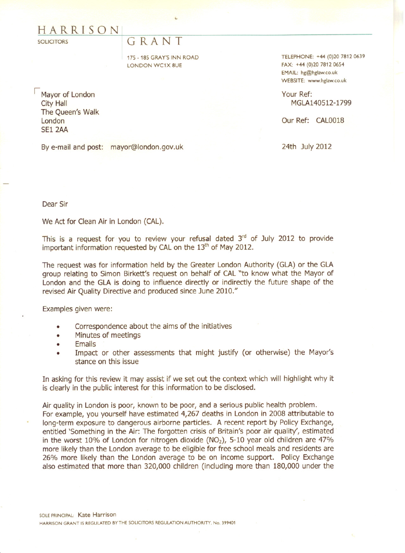## HARRISON[

**SOLICITORS** 

## G RA N T

175 - 185 GRAY'S INN ROAD LONDON WC1X 8UE

Mayor of London City Hall The Queen's Walk London **SE1 2AA** 

By e-mail and post: mayor@london.gov.uk

TELEPHONE: +44 (0)20 7812 0639 FAX: +44 (0)20 7812 06S4 EMAIL: hg@hglaw.co.uk WEBSITE: www.hglaw.co.uk

Your Ref: MGLA140512-1799

Our Ref: CAL0018

24th July 2012

Dear Sir

We Act for Clean Air in London (CAL).

This is a request for you to review your refusal dated  $3<sup>rd</sup>$  of July 2012 to provide important information requested by CAL on the  $13<sup>th</sup>$  of May 2012.

The request was for information held by the Greater London Authority (GLA) or the GLA group relating to Simon Birkett's request on behalf of CAL "to know what the Mayor of London and the GLA is doing to influence directly or indirectly the future shape of the revised Air Quality Directive and produced since June 2010."

Examples given were:

- Correspondence about the aims of the initiatives
- Minutes of meetings
- Emails
- Impact or other assessments that might justify (or otherwise) the Mayor's stance on this issue

In asking for this review it may assist if we set out the context which will highlight why it is clearly in the public interest for this information to be disclosed.

Air quality in London is poor, known to be poor, and a serious public health problem. For example, you yourself have estimated 4,267 deaths in London in 2008 attributable to long-term exposure to dangerous airborne particles. A recent report by Policy Exchange, entitled 'Something in the Air: The forgotten crisis of Britain's poor air quality', estimated in the worst 10% of London for nitrogen dioxide (NO<sub>2</sub>), 5-10 year old children are 47% more likely than the London average to be eligible for free school meals and residents are 26% more likely than the London average to be on income support. Policy Exchange also estimated that more than 320,000 children (including more than 180,000 under the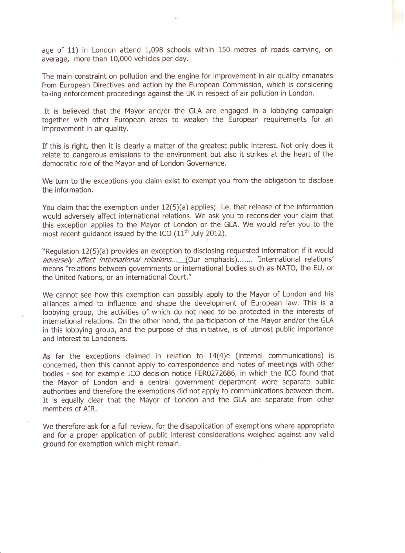age of 11) in London attend 1,098 schools within 150 metres of roads carrying, on average, more than 10,000 vehicles per day.

The main constraint on pollution and the engine for improvement in air quality emanates from European Directives and action by the European Commission, which is considering taking enforcement proceedings against the UK in respect of air pollution in London.

It is believed that the Mayor and/or the GLA are engaged in a lobbying campaign together with other European areas to weaken the European requirements for an improvement in air quality.

If this is right, then it is clearly a matter of the greatest public interest. Not only does it relate to dangerous emissions to the environment but also it strikes at the heart of the democratic role of the Mayor and of London Governance.

We turn to the exceptions you claim exist to exempt you from the obligation to disclose the information.

You claim that the exemption under 12(5)(a) applies; i.e. that release of the information would adversely affect international relations. We ask you to reconsider your claim that this exception applies to the Mayor of London or the GLA. We would refer you to the most recent quidance issued by the ICO  $(11<sup>th</sup>$  July 2012).

"Regulation 12(5)(a) provides an exception to disclosing requested information if it would adversely affect international relations... (Our emphasis) ....... 'International relations' means "relations between governments or international bodies such as NATO, the EU, or the United Nations, or an international Court."

We cannot see how this exemption can possibly apply to the Mayor of London and his alliances aimed to influence and shape the development of European law. This is a lobbying group, the activities of which do not need to be protected in the interests of international relations. On the other hand, the participation of the Mayor and/or the GLA in this lobbying group, and the purpose of this initiative, is of utmost public importance and interest to Londoners.

As far the exceptions claimed in relation to 14(4)e (internal communications) is concerned, then this cannot apply to correspondence and notes of meetings with other bodies - see for example ICO decision notice FER0272686, in which the ICO found that the Mayor of London and a central government department were separate public authorities and therefore the exemptions did not apply to communications between them. It is equally clear that the Mayor of London and the GLA are separate from other members of AIR.

We therefore ask for a full review, for the disapplication of exemptions where appropriate and for a proper application of public interest considerations weighed against any valid ground for exemption which might remain.